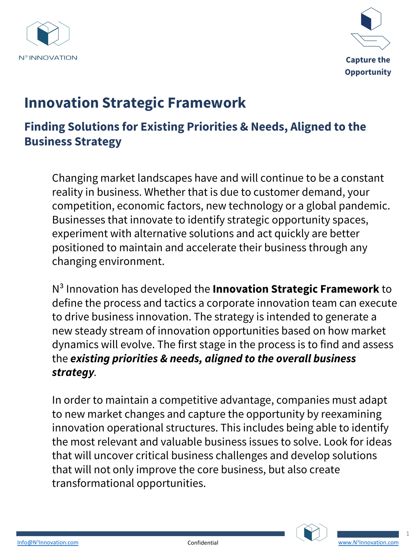



# **Innovation Strategic Framework**

#### **Finding Solutions for Existing Priorities & Needs, Aligned to the Business Strategy**

Changing market landscapes have and will continue to be a constant reality in business. Whether that is due to customer demand, your competition, economic factors, new technology or a global pandemic. Businesses that innovate to identify strategic opportunity spaces, experiment with alternative solutions and act quickly are better positioned to maintain and accelerate their business through any changing environment.

N³ Innovation has developed the **Innovation Strategic Framework** to define the process and tactics a corporate innovation team can execute to drive business innovation. The strategy is intended to generate a new steady stream of innovation opportunities based on how market dynamics will evolve. The first stage in the process is to find and assess the *existing priorities & needs, aligned to the overall business strategy.* 

In order to maintain a competitive advantage, companies must adapt to new market changes and capture the opportunity by reexamining innovation operational structures. This includes being able to identify the most relevant and valuable business issues to solve. Look for ideas that will uncover critical business challenges and develop solutions that will not only improve the core business, but also create [transf](mailto:Info@N3Innovation.com)ormational opportunities.



1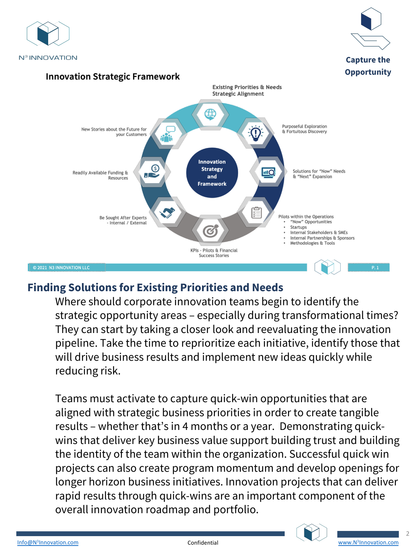

#### **Finding Solutions for Existing Priorities and Needs**

Where should corporate innovation teams begin to identify the strategic opportunity areas – especially during transformational times? They can start by taking a closer look and reevaluating the innovation pipeline. Take the time to reprioritize each initiative, identify those that will drive business results and implement new ideas quickly while reducing risk.

Teams must activate to capture quick-win opportunities that are aligned with strategic business priorities in order to create tangible results – whether that's in 4 months or a year. Demonstrating quickwins that deliver key business value support building trust and building the identity of the team within the organization. Successful quick win projects can also create program momentum and develop openings for [longe](mailto:Info@N3Innovation.com)r horizon business initiatives. Innovation projects th[at can deliver](http://www.n3innovation.com/)  rapid results through quick-wins are an important component of the overall innovation roadmap and portfolio.